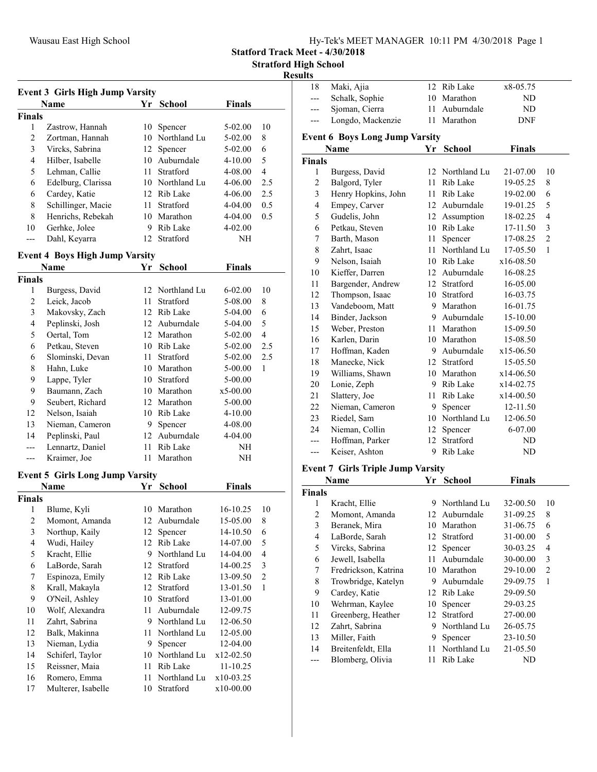| Hy-Tek's MEET MANAGER 10:11 PM 4/30/2018 Page 1 |
|-------------------------------------------------|
|-------------------------------------------------|

Statford Track Meet - 4/30/2018

Stratford High School

#### Results

| <b>Event 3 Girls High Jump Varsity</b> |                                        |      |                 |               |                         |  |  |
|----------------------------------------|----------------------------------------|------|-----------------|---------------|-------------------------|--|--|
|                                        | <b>Name</b>                            | Yr   | <b>School</b>   | <b>Finals</b> |                         |  |  |
| <b>Finals</b>                          |                                        |      |                 |               |                         |  |  |
| 1                                      | Zastrow, Hannah                        | 10   | Spencer         | 5-02.00       | 10                      |  |  |
| $\overline{2}$                         | Zortman, Hannah                        |      | 10 Northland Lu | 5-02.00       | 8                       |  |  |
| 3                                      | Vircks, Sabrina                        | 12   | Spencer         | 5-02.00       | 6                       |  |  |
| 4                                      | Hilber, Isabelle                       |      | 10 Auburndale   | 4-10.00       | 5                       |  |  |
| 5                                      | Lehman, Callie                         | 11 - | Stratford       | 4-08.00       | $\overline{4}$          |  |  |
| 6                                      | Edelburg, Clarissa                     |      | 10 Northland Lu | 4-06.00       | 2.5                     |  |  |
| 6                                      | Cardey, Katie                          |      | 12 Rib Lake     | 4-06.00       | 2.5                     |  |  |
| 8                                      | Schillinger, Macie                     | 11 - | Stratford       | 4-04.00       | 0.5                     |  |  |
| 8                                      | Henrichs, Rebekah                      |      | 10 Marathon     | 4-04.00       | 0.5                     |  |  |
| 10                                     | Gerhke, Jolee                          |      | 9 Rib Lake      | 4-02.00       |                         |  |  |
| ---                                    | Dahl, Keyarra                          | 12   | Stratford       | NH            |                         |  |  |
|                                        | <b>Event 4 Boys High Jump Varsity</b>  |      |                 |               |                         |  |  |
|                                        | Name                                   | Yr   | <b>School</b>   | Finals        |                         |  |  |
| <b>Finals</b>                          |                                        |      |                 |               |                         |  |  |
| 1                                      | Burgess, David                         |      | 12 Northland Lu | $6 - 02.00$   | 10                      |  |  |
| 2                                      | Leick, Jacob                           | 11   | Stratford       | 5-08.00       | 8                       |  |  |
| 3                                      | Makovsky, Zach                         |      | 12 Rib Lake     | 5-04.00       | 6                       |  |  |
| 4                                      | Peplinski, Josh                        |      | 12 Auburndale   | 5-04.00       | 5                       |  |  |
| 5                                      | Oertal, Tom                            |      | 12 Marathon     | 5-02.00       | $\overline{4}$          |  |  |
| 6                                      | Petkau, Steven                         |      | 10 Rib Lake     | 5-02.00       | 2.5                     |  |  |
| 6                                      | Slominski, Devan                       | 11 - | Stratford       | 5-02.00       | 2.5                     |  |  |
| 8                                      | Hahn, Luke                             |      | 10 Marathon     | 5-00.00       | 1                       |  |  |
| 9                                      | Lappe, Tyler                           |      | 10 Stratford    | 5-00.00       |                         |  |  |
| 9                                      | Baumann, Zach                          |      | 10 Marathon     | $x5-00.00$    |                         |  |  |
| 9                                      | Seubert, Richard                       |      | 12 Marathon     | 5-00.00       |                         |  |  |
| 12                                     | Nelson, Isaiah                         |      | 10 Rib Lake     | $4 - 10.00$   |                         |  |  |
| 13                                     | Nieman, Cameron                        |      | 9 Spencer       | 4-08.00       |                         |  |  |
| 14                                     | Peplinski, Paul                        |      | 12 Auburndale   | 4-04.00       |                         |  |  |
|                                        | Lennartz, Daniel                       |      | 11 Rib Lake     | NH            |                         |  |  |
| ---                                    | Kraimer, Joe                           |      | 11 Marathon     | NH            |                         |  |  |
|                                        |                                        |      |                 |               |                         |  |  |
|                                        | <b>Event 5 Girls Long Jump Varsity</b> |      |                 |               |                         |  |  |
|                                        | Name                                   |      | Yr School       | <b>Finals</b> |                         |  |  |
| <b>Finals</b>                          |                                        |      |                 |               |                         |  |  |
| 1                                      | Blume, Kyli                            |      | 10 Marathon     | 16-10.25      | 10                      |  |  |
| 2                                      | Momont, Amanda                         |      | 12 Auburndale   | 15-05.00      | 8                       |  |  |
| $\mathfrak{Z}$                         | Northup, Kaily                         | 12   | Spencer         | 14-10.50      | 6                       |  |  |
| $\overline{\mathbf{4}}$                | Wudi, Hailey                           | 12   | Rib Lake        | 14-07.00      | 5                       |  |  |
| 5                                      | Kracht, Ellie                          | 9    | Northland Lu    | 14-04.00      | $\overline{\mathbf{4}}$ |  |  |
| 6                                      | LaBorde, Sarah                         | 12   | Stratford       | 14-00.25      | $\mathfrak{Z}$          |  |  |
| 7                                      | Espinoza, Emily                        | 12   | Rib Lake        | 13-09.50      | $\overline{2}$          |  |  |
| 8                                      | Krall, Makayla                         | 12   | Stratford       | 13-01.50      | $\mathbf{1}$            |  |  |
| 9                                      | O'Neil, Ashley                         | 10   | Stratford       | 13-01.00      |                         |  |  |
| 10                                     | Wolf, Alexandra                        | 11   | Auburndale      | 12-09.75      |                         |  |  |
| 11                                     | Zahrt, Sabrina                         | 9.   | Northland Lu    | 12-06.50      |                         |  |  |
| 12                                     | Balk, Makinna                          | 11   | Northland Lu    | 12-05.00      |                         |  |  |
| 13                                     | Nieman, Lydia                          | 9.   | Spencer         | 12-04.00      |                         |  |  |
| 14                                     | Schiferl, Taylor                       | 10   | Northland Lu    | x12-02.50     |                         |  |  |
| 15                                     | Reissner, Maia                         | 11   | Rib Lake        | 11-10.25      |                         |  |  |
| 16                                     | Romero, Emma                           | 11   | Northland Lu    | x10-03.25     |                         |  |  |
| 17                                     | Multerer, Isabelle                     | 10   | Stratford       | x10-00.00     |                         |  |  |

| sunts                                 |                                          |    |                 |               |                |  |  |  |
|---------------------------------------|------------------------------------------|----|-----------------|---------------|----------------|--|--|--|
| 18                                    | Maki, Ajia                               |    | 12 Rib Lake     | x8-05.75      |                |  |  |  |
| ---                                   | Schalk, Sophie                           |    | 10 Marathon     | ND            |                |  |  |  |
| ---                                   | Sjoman, Cierra                           | 11 | Auburndale      | $\rm ND$      |                |  |  |  |
| ---                                   | Longdo, Mackenzie                        | 11 | Marathon        | DNF           |                |  |  |  |
| <b>Event 6 Boys Long Jump Varsity</b> |                                          |    |                 |               |                |  |  |  |
|                                       | Name                                     | Yr | <b>School</b>   | <b>Finals</b> |                |  |  |  |
| <b>Finals</b>                         |                                          |    |                 |               |                |  |  |  |
| $\mathbf{1}$                          | Burgess, David                           | 12 | Northland Lu    | 21-07.00      | 10             |  |  |  |
| $\overline{c}$                        | Balgord, Tyler                           | 11 | Rib Lake        | 19-05.25      | 8              |  |  |  |
| 3                                     | Henry Hopkins, John                      | 11 | Rib Lake        | 19-02.00      | 6              |  |  |  |
| $\overline{\mathbf{4}}$               | Empey, Carver                            |    | 12 Auburndale   | 19-01.25      | 5              |  |  |  |
| 5                                     | Gudelis, John                            |    | 12 Assumption   | 18-02.25      | $\overline{4}$ |  |  |  |
| 6                                     | Petkau, Steven                           |    | 10 Rib Lake     | 17-11.50      | $\mathfrak{Z}$ |  |  |  |
| 7                                     | Barth, Mason                             | 11 | Spencer         | 17-08.25      | $\overline{2}$ |  |  |  |
| $\,$ $\,$                             | Zahrt, Isaac                             | 11 | Northland Lu    | 17-05.50      | $\mathbf{1}$   |  |  |  |
| 9                                     | Nelson, Isaiah                           |    | 10 Rib Lake     | x16-08.50     |                |  |  |  |
| 10                                    | Kieffer, Darren                          |    | 12 Auburndale   | 16-08.25      |                |  |  |  |
| 11                                    | Bargender, Andrew                        |    | 12 Stratford    | 16-05.00      |                |  |  |  |
| 12                                    | Thompson, Isaac                          |    | 10 Stratford    | 16-03.75      |                |  |  |  |
| 13                                    | Vandeboom, Matt                          |    | 9 Marathon      | 16-01.75      |                |  |  |  |
| 14                                    | Binder, Jackson                          |    | 9 Auburndale    | 15-10.00      |                |  |  |  |
| 15                                    | Weber, Preston                           |    | 11 Marathon     | 15-09.50      |                |  |  |  |
| 16                                    | Karlen, Darin                            |    | 10 Marathon     | 15-08.50      |                |  |  |  |
| 17                                    | Hoffman, Kaden                           |    | 9 Auburndale    | x15-06.50     |                |  |  |  |
| 18                                    | Manecke, Nick                            | 12 | Stratford       | 15-05.50      |                |  |  |  |
| 19                                    | Williams, Shawn                          |    | 10 Marathon     | x14-06.50     |                |  |  |  |
| 20                                    | Lonie, Zeph                              |    | 9 Rib Lake      | x14-02.75     |                |  |  |  |
| 21                                    | Slattery, Joe                            | 11 | Rib Lake        | x14-00.50     |                |  |  |  |
| 22                                    | Nieman, Cameron                          | 9  | Spencer         | 12-11.50      |                |  |  |  |
| 23                                    | Riedel, Sam                              |    | 10 Northland Lu | 12-06.50      |                |  |  |  |
| 24                                    | Nieman, Collin                           | 12 | Spencer         | 6-07.00       |                |  |  |  |
| ---                                   | Hoffman, Parker                          | 12 | Stratford       | ND            |                |  |  |  |
| $---$                                 | Keiser, Ashton                           | 9  | Rib Lake        | ND            |                |  |  |  |
|                                       | <b>Event 7 Girls Triple Jump Varsity</b> |    |                 |               |                |  |  |  |
|                                       |                                          |    |                 |               |                |  |  |  |

|               | Name                 |     | Yr School    | <b>Finals</b> |                |
|---------------|----------------------|-----|--------------|---------------|----------------|
| <b>Finals</b> |                      |     |              |               |                |
| 1             | Kracht, Ellie        | 9   | Northland Lu | 32-00.50      | 10             |
| 2             | Momont, Amanda       | 12  | Auburndale   | 31-09.25      | 8              |
| 3             | Beranek, Mira        | 10  | Marathon     | 31-06.75      | 6              |
| 4             | LaBorde, Sarah       |     | 12 Stratford | 31-00.00      | 5              |
| 5             | Vircks, Sabrina      |     | 12 Spencer   | 30-03.25      | 4              |
| 6             | Jewell, Isabella     | 11  | Auburndale   | 30-00.00      | 3              |
| 7             | Fredrickson, Katrina | 10  | Marathon     | 29-10.00      | $\overline{2}$ |
| 8             | Trowbridge, Katelyn  | 9   | Auburndale   | 29-09.75      | 1              |
| 9             | Cardey, Katie        | 12  | Rib Lake     | 29-09.50      |                |
| 10            | Wehrman, Kaylee      | 10- | Spencer      | 29-03.25      |                |
| 11            | Greenberg, Heather   |     | 12 Stratford | 27-00.00      |                |
| 12            | Zahrt, Sabrina       | 9   | Northland Lu | 26-05.75      |                |
| 13            | Miller, Faith        | 9   | Spencer      | 23-10.50      |                |
| 14            | Breitenfeldt, Ella   | 11  | Northland Lu | 21-05.50      |                |
|               | Blomberg, Olivia     | 11  | Rib Lake     | ND            |                |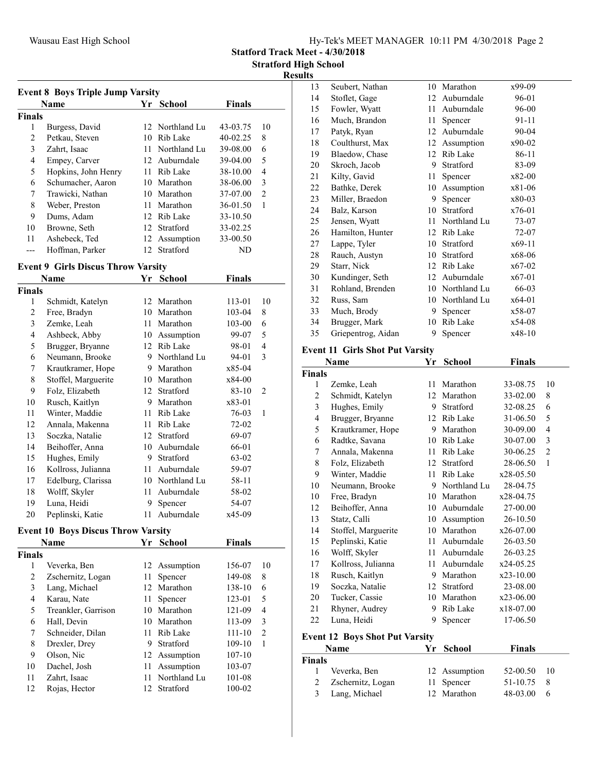Statford Track Meet - 4/30/2018

#### Results

| <b>Event 8 Boys Triple Jump Varsity</b>             |                     |     |                 |            |                |  |  |
|-----------------------------------------------------|---------------------|-----|-----------------|------------|----------------|--|--|
| <b>School</b><br><b>Finals</b><br><b>Name</b><br>Yr |                     |     |                 |            |                |  |  |
| <b>Finals</b>                                       |                     |     |                 |            |                |  |  |
| 1                                                   | Burgess, David      |     | 12 Northland Lu | 43-03.75   | 10             |  |  |
| 2                                                   | Petkau, Steven      | 10  | Rib Lake        | $40-02.25$ | 8              |  |  |
| 3                                                   | Zahrt, Isaac        |     | 11 Northland Lu | 39-08.00   | 6              |  |  |
| 4                                                   | Empey, Carver       | 12. | Auburndale      | 39-04.00   | 5              |  |  |
| 5                                                   | Hopkins, John Henry | 11  | Rib Lake        | 38-10.00   | 4              |  |  |
| 6                                                   | Schumacher, Aaron   | 10  | Marathon        | 38-06.00   | 3              |  |  |
| 7                                                   | Trawicki, Nathan    | 10  | Marathon        | 37-07.00   | $\mathfrak{D}$ |  |  |
| 8                                                   | Weber, Preston      | 11  | Marathon        | 36-01.50   | 1              |  |  |
| 9                                                   | Dums, Adam          | 12. | Rib Lake        | 33-10.50   |                |  |  |
| 10                                                  | Browne, Seth        | 12  | Stratford       | 33-02.25   |                |  |  |
| 11                                                  | Ashebeck, Ted       | 12  | Assumption      | 33-00.50   |                |  |  |
|                                                     | Hoffman, Parker     | 12. | Stratford       | ND         |                |  |  |

# Event 9 Girls Discus Throw Varsity

|               | Name                | Yr | <b>School</b> | Finals    |    |
|---------------|---------------------|----|---------------|-----------|----|
| <b>Finals</b> |                     |    |               |           |    |
| 1             | Schmidt, Katelyn    | 12 | Marathon      | 113-01    | 10 |
| 2             | Free, Bradyn        | 10 | Marathon      | 103-04    | 8  |
| 3             | Zemke, Leah         | 11 | Marathon      | 103-00    | 6  |
| 4             | Ashbeck, Abby       | 10 | Assumption    | 99-07     | 5  |
| 5             | Brugger, Bryanne    | 12 | Rib Lake      | 98-01     | 4  |
| 6             | Neumann, Brooke     | 9  | Northland Lu  | 94-01     | 3  |
| 7             | Krautkramer, Hope   | 9  | Marathon      | x85-04    |    |
| 8             | Stoffel, Marguerite | 10 | Marathon      | x84-00    |    |
| 9             | Folz, Elizabeth     | 12 | Stratford     | $83 - 10$ | 2  |
| 10            | Rusch, Kaitlyn      | 9  | Marathon      | x83-01    |    |
| 11            | Winter, Maddie      | 11 | Rib Lake      | 76-03     | 1  |
| 12            | Annala, Makenna     | 11 | Rib Lake      | 72-02     |    |
| 13            | Soczka, Natalie     | 12 | Stratford     | 69-07     |    |
| 14            | Beihoffer, Anna     | 10 | Auburndale    | 66-01     |    |
| 15            | Hughes, Emily       | 9  | Stratford     | 63-02     |    |
| 16            | Kollross, Julianna  | 11 | Auburndale    | 59-07     |    |
| 17            | Edelburg, Clarissa  | 10 | Northland Lu  | 58-11     |    |
| 18            | Wolff, Skyler       | 11 | Auburndale    | 58-02     |    |
| 19            | Luna, Heidi         | 9  | Spencer       | 54-07     |    |
| 20            | Peplinski, Katie    | 11 | Auburndale    | x45-09    |    |

## Event 10 Boys Discus Throw Varsity

|               | <b>Name</b>         | Yr | <b>School</b> | <b>Finals</b> |                |
|---------------|---------------------|----|---------------|---------------|----------------|
| <b>Finals</b> |                     |    |               |               |                |
| 1             | Veverka, Ben        |    | 12 Assumption | 156-07        | 10             |
| 2             | Zschernitz, Logan   | 11 | Spencer       | 149-08        | 8              |
| 3             | Lang, Michael       | 12 | Marathon      | 138-10        | 6              |
| 4             | Karau, Nate         | 11 | Spencer       | 123-01        | 5              |
| 5             | Treankler, Garrison | 10 | Marathon      | 121-09        | 4              |
| 6             | Hall, Devin         | 10 | Marathon      | 113-09        | 3              |
| 7             | Schneider, Dilan    | 11 | Rib Lake      | 111-10        | $\overline{2}$ |
| 8             | Drexler, Drey       | 9  | Stratford     | 109-10        | 1              |
| 9             | Olson, Nic          |    | 12 Assumption | $107 - 10$    |                |
| 10            | Dachel, Josh        | 11 | Assumption    | 103-07        |                |
| 11            | Zahrt, Isaac        | 11 | Northland Lu  | 101-08        |                |
| 12            | Rojas, Hector       | 12 | Stratford     | 100-02        |                |

| 13 | Seubert, Nathan    |    | 10 Marathon  | x99-09   |
|----|--------------------|----|--------------|----------|
| 14 | Stoflet, Gage      | 12 | Auburndale   | 96-01    |
| 15 | Fowler, Wyatt      | 11 | Auburndale   | 96-00    |
| 16 | Much, Brandon      | 11 | Spencer      | 91-11    |
| 17 | Patyk, Ryan        | 12 | Auburndale   | 90-04    |
| 18 | Coulthurst, Max    | 12 | Assumption   | x90-02   |
| 19 | Blaedow, Chase     | 12 | Rib Lake     | 86-11    |
| 20 | Skroch, Jacob      | 9  | Stratford    | 83-09    |
| 21 | Kilty, Gavid       | 11 | Spencer      | x82-00   |
| 22 | Bathke, Derek      | 10 | Assumption   | x81-06   |
| 23 | Miller, Braedon    | 9  | Spencer      | x80-03   |
| 24 | Balz, Karson       | 10 | Stratford    | x76-01   |
| 25 | Jensen, Wyatt      | 11 | Northland Lu | 73-07    |
| 26 | Hamilton, Hunter   | 12 | Rib Lake     | 72-07    |
| 27 | Lappe, Tyler       | 10 | Stratford    | x69-11   |
| 28 | Rauch, Austyn      | 10 | Stratford    | x68-06   |
| 29 | Starr, Nick        | 12 | Rib Lake     | x67-02   |
| 30 | Kundinger, Seth    | 12 | Auburndale   | x67-01   |
| 31 | Rohland, Brenden   | 10 | Northland Lu | 66-03    |
| 32 | Russ, Sam          | 10 | Northland Lu | $x64-01$ |
| 33 | Much, Brody        | 9  | Spencer      | x58-07   |
| 34 | Brugger, Mark      | 10 | Rib Lake     | x54-08   |
| 35 | Griepentrog, Aidan | 9  | Spencer      | x48-10   |
|    |                    |    |              |          |

# Event 11 Girls Shot Put Varsity

| Name           |                                       | Yr          | <b>School</b>                                | <b>Finals</b> |                |
|----------------|---------------------------------------|-------------|----------------------------------------------|---------------|----------------|
| Finals         |                                       |             |                                              |               |                |
| 1              | Zemke, Leah                           | 11          | Marathon                                     | 33-08.75      | 10             |
| $\mathfrak{2}$ | Schmidt, Katelyn                      | 12          | Marathon                                     | 33-02.00      | 8              |
| 3              | Hughes, Emily                         | 9           | Stratford                                    | 32-08.25      | 6              |
| $\overline{4}$ | Brugger, Bryanne                      |             | 12 Rib Lake                                  | 31-06.50      | 5              |
| 5              | Krautkramer, Hope                     | 9           | Marathon                                     | 30-09.00      | 4              |
| 6              | Radtke, Savana                        | 10          | Rib Lake                                     | 30-07.00      | 3              |
| 7              | Annala, Makenna                       | 11          | Rib Lake                                     | 30-06.25      | $\overline{c}$ |
| 8              | Folz, Elizabeth                       | 12          | Stratford                                    | 28-06.50      | $\mathbf{1}$   |
| 9              | Winter, Maddie                        | 11          | Rib Lake                                     | x28-05.50     |                |
| 10             | Neumann, Brooke                       | 9           | Northland Lu                                 | 28-04.75      |                |
| 10             | Free, Bradyn                          | 10          | Marathon                                     | x28-04.75     |                |
| 12             | Beihoffer, Anna                       | 10          | Auburndale                                   | 27-00.00      |                |
| 13             | Statz, Calli                          | 10          | Assumption                                   | 26-10.50      |                |
| 14             | Stoffel, Marguerite                   | 10          | Marathon                                     | x26-07.00     |                |
| 15             | Peplinski, Katie                      | 11          | Auburndale                                   | 26-03.50      |                |
| 16             | Wolff, Skyler                         | 11          | Auburndale                                   | 26-03.25      |                |
| 17             | Kollross, Julianna                    | 11          | Auburndale                                   | x24-05.25     |                |
| 18             | Rusch, Kaitlyn                        | 9           | Marathon                                     | x23-10.00     |                |
| 19             | Soczka, Natalie                       |             | 12 Stratford                                 | 23-08.00      |                |
| 20             | Tucker, Cassie                        | 10          | Marathon                                     | $x23-06.00$   |                |
| 21             | Rhyner, Audrey                        | 9           | Rib Lake                                     | x18-07.00     |                |
| 22             | Luna, Heidi                           | 9           | Spencer                                      | 17-06.50      |                |
|                | <b>Event 12 Boys Shot Put Varsity</b> |             |                                              |               |                |
|                | Name                                  | Yr          | <b>School</b>                                | <b>Finals</b> |                |
| Finals         |                                       |             |                                              |               |                |
| $\mathbf{1}$   | $T = 1$                               | $1^{\circ}$ | <b>A</b> and the second of the second second | 50.0050       | 1 <sub>0</sub> |

| inals |                     |               |          |      |
|-------|---------------------|---------------|----------|------|
|       | 1 Veverka, Ben      | 12 Assumption | 52-00.50 | - 10 |
|       | 2 Zschernitz, Logan | 11 Spencer    | 51-10.75 | - 8  |
|       | 3 Lang, Michael     | 12 Marathon   | 48-03.00 | - 6  |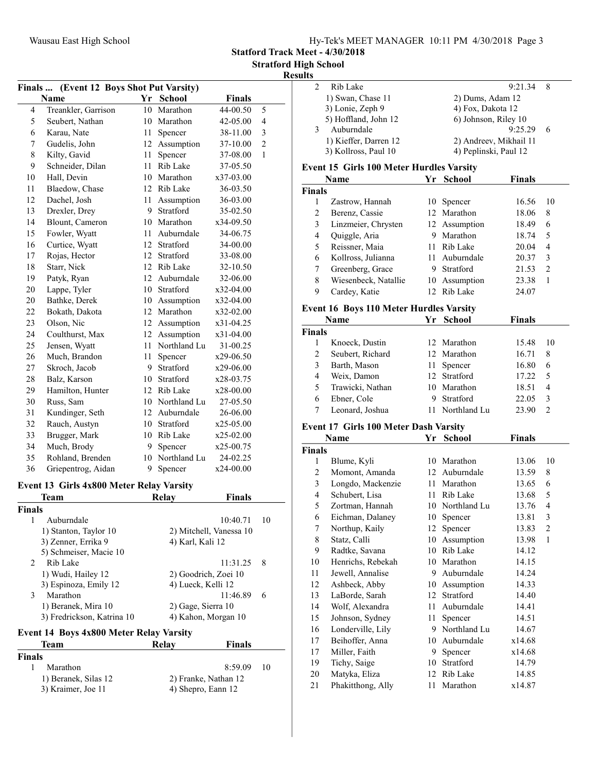Statford Track Meet - 4/30/2018

#### Results

|    | (Event 12 Boys Shot Put Varsity)<br>Finals<br><b>Name</b><br>Yr School<br><b>Finals</b><br>44-00.50<br>Treankler, Garrison<br>Marathon<br>4<br>10<br>5<br>$\overline{4}$<br>5<br>Seubert, Nathan<br>Marathon<br>42-05.00<br>10<br>3<br>6<br>Karau, Nate<br>38-11.00<br>11-<br>Spencer<br>$\overline{2}$<br>7<br>Gudelis, John<br>Assumption<br>12<br>37-10.00<br>8<br>$\mathbf{1}$<br>Kilty, Gavid<br>11<br>Spencer<br>37-08.00<br>9<br>Schneider, Dilan<br>Rib Lake<br>11<br>37-05.50<br>10<br>Hall, Devin<br>10<br>Marathon<br>x37-03.00<br>11<br>Blaedow, Chase<br>12 Rib Lake<br>36-03.50<br>12<br>Dachel, Josh<br>11<br>Assumption<br>36-03.00<br>Stratford<br>13<br>9<br>Drexler, Drey<br>35-02.50<br>Marathon<br>14<br>Blount, Cameron<br>10<br>x34-09.50<br>15<br>Auburndale<br>Fowler, Wyatt<br>11<br>34-06.75<br>16<br>Stratford<br>Curtice, Wyatt<br>12<br>34-00.00<br>Rojas, Hector<br>Stratford<br>17<br>12<br>33-08.00<br>Starr, Nick<br>12 Rib Lake<br>18<br>32-10.50<br>12 Auburndale<br>19<br>Patyk, Ryan<br>32-06.00<br>Stratford<br>20<br>Lappe, Tyler<br>10<br>x32-04.00<br>20<br>Bathke, Derek<br>10 Assumption<br>x32-04.00<br>12 Marathon<br>22<br>Bokath, Dakota<br>x32-02.00<br>23<br>Olson, Nic<br>12 Assumption<br>x31-04.25<br>12 Assumption<br>24<br>Coulthurst, Max<br>x31-04.00<br>25<br>Northland Lu<br>Jensen, Wyatt<br>11<br>31-00.25 |    |                 |               |  |
|----|-------------------------------------------------------------------------------------------------------------------------------------------------------------------------------------------------------------------------------------------------------------------------------------------------------------------------------------------------------------------------------------------------------------------------------------------------------------------------------------------------------------------------------------------------------------------------------------------------------------------------------------------------------------------------------------------------------------------------------------------------------------------------------------------------------------------------------------------------------------------------------------------------------------------------------------------------------------------------------------------------------------------------------------------------------------------------------------------------------------------------------------------------------------------------------------------------------------------------------------------------------------------------------------------------------------------------------------------------------------------------|----|-----------------|---------------|--|
|    |                                                                                                                                                                                                                                                                                                                                                                                                                                                                                                                                                                                                                                                                                                                                                                                                                                                                                                                                                                                                                                                                                                                                                                                                                                                                                                                                                                         |    |                 |               |  |
|    |                                                                                                                                                                                                                                                                                                                                                                                                                                                                                                                                                                                                                                                                                                                                                                                                                                                                                                                                                                                                                                                                                                                                                                                                                                                                                                                                                                         |    |                 |               |  |
|    |                                                                                                                                                                                                                                                                                                                                                                                                                                                                                                                                                                                                                                                                                                                                                                                                                                                                                                                                                                                                                                                                                                                                                                                                                                                                                                                                                                         |    |                 |               |  |
|    |                                                                                                                                                                                                                                                                                                                                                                                                                                                                                                                                                                                                                                                                                                                                                                                                                                                                                                                                                                                                                                                                                                                                                                                                                                                                                                                                                                         |    |                 |               |  |
|    |                                                                                                                                                                                                                                                                                                                                                                                                                                                                                                                                                                                                                                                                                                                                                                                                                                                                                                                                                                                                                                                                                                                                                                                                                                                                                                                                                                         |    |                 |               |  |
|    |                                                                                                                                                                                                                                                                                                                                                                                                                                                                                                                                                                                                                                                                                                                                                                                                                                                                                                                                                                                                                                                                                                                                                                                                                                                                                                                                                                         |    |                 |               |  |
|    |                                                                                                                                                                                                                                                                                                                                                                                                                                                                                                                                                                                                                                                                                                                                                                                                                                                                                                                                                                                                                                                                                                                                                                                                                                                                                                                                                                         |    |                 |               |  |
|    |                                                                                                                                                                                                                                                                                                                                                                                                                                                                                                                                                                                                                                                                                                                                                                                                                                                                                                                                                                                                                                                                                                                                                                                                                                                                                                                                                                         |    |                 |               |  |
|    |                                                                                                                                                                                                                                                                                                                                                                                                                                                                                                                                                                                                                                                                                                                                                                                                                                                                                                                                                                                                                                                                                                                                                                                                                                                                                                                                                                         |    |                 |               |  |
|    |                                                                                                                                                                                                                                                                                                                                                                                                                                                                                                                                                                                                                                                                                                                                                                                                                                                                                                                                                                                                                                                                                                                                                                                                                                                                                                                                                                         |    |                 |               |  |
|    |                                                                                                                                                                                                                                                                                                                                                                                                                                                                                                                                                                                                                                                                                                                                                                                                                                                                                                                                                                                                                                                                                                                                                                                                                                                                                                                                                                         |    |                 |               |  |
|    |                                                                                                                                                                                                                                                                                                                                                                                                                                                                                                                                                                                                                                                                                                                                                                                                                                                                                                                                                                                                                                                                                                                                                                                                                                                                                                                                                                         |    |                 |               |  |
|    |                                                                                                                                                                                                                                                                                                                                                                                                                                                                                                                                                                                                                                                                                                                                                                                                                                                                                                                                                                                                                                                                                                                                                                                                                                                                                                                                                                         |    |                 |               |  |
|    |                                                                                                                                                                                                                                                                                                                                                                                                                                                                                                                                                                                                                                                                                                                                                                                                                                                                                                                                                                                                                                                                                                                                                                                                                                                                                                                                                                         |    |                 |               |  |
|    |                                                                                                                                                                                                                                                                                                                                                                                                                                                                                                                                                                                                                                                                                                                                                                                                                                                                                                                                                                                                                                                                                                                                                                                                                                                                                                                                                                         |    |                 |               |  |
|    |                                                                                                                                                                                                                                                                                                                                                                                                                                                                                                                                                                                                                                                                                                                                                                                                                                                                                                                                                                                                                                                                                                                                                                                                                                                                                                                                                                         |    |                 |               |  |
|    |                                                                                                                                                                                                                                                                                                                                                                                                                                                                                                                                                                                                                                                                                                                                                                                                                                                                                                                                                                                                                                                                                                                                                                                                                                                                                                                                                                         |    |                 |               |  |
|    |                                                                                                                                                                                                                                                                                                                                                                                                                                                                                                                                                                                                                                                                                                                                                                                                                                                                                                                                                                                                                                                                                                                                                                                                                                                                                                                                                                         |    |                 |               |  |
|    |                                                                                                                                                                                                                                                                                                                                                                                                                                                                                                                                                                                                                                                                                                                                                                                                                                                                                                                                                                                                                                                                                                                                                                                                                                                                                                                                                                         |    |                 |               |  |
|    |                                                                                                                                                                                                                                                                                                                                                                                                                                                                                                                                                                                                                                                                                                                                                                                                                                                                                                                                                                                                                                                                                                                                                                                                                                                                                                                                                                         |    |                 |               |  |
|    |                                                                                                                                                                                                                                                                                                                                                                                                                                                                                                                                                                                                                                                                                                                                                                                                                                                                                                                                                                                                                                                                                                                                                                                                                                                                                                                                                                         |    |                 |               |  |
|    |                                                                                                                                                                                                                                                                                                                                                                                                                                                                                                                                                                                                                                                                                                                                                                                                                                                                                                                                                                                                                                                                                                                                                                                                                                                                                                                                                                         |    |                 |               |  |
|    |                                                                                                                                                                                                                                                                                                                                                                                                                                                                                                                                                                                                                                                                                                                                                                                                                                                                                                                                                                                                                                                                                                                                                                                                                                                                                                                                                                         |    |                 |               |  |
| 26 | Much, Brandon                                                                                                                                                                                                                                                                                                                                                                                                                                                                                                                                                                                                                                                                                                                                                                                                                                                                                                                                                                                                                                                                                                                                                                                                                                                                                                                                                           | 11 | Spencer         | x29-06.50     |  |
| 27 | Skroch, Jacob                                                                                                                                                                                                                                                                                                                                                                                                                                                                                                                                                                                                                                                                                                                                                                                                                                                                                                                                                                                                                                                                                                                                                                                                                                                                                                                                                           | 9  | Stratford       | x29-06.00     |  |
| 28 | Balz, Karson                                                                                                                                                                                                                                                                                                                                                                                                                                                                                                                                                                                                                                                                                                                                                                                                                                                                                                                                                                                                                                                                                                                                                                                                                                                                                                                                                            | 10 | Stratford       | x28-03.75     |  |
| 29 | Hamilton, Hunter                                                                                                                                                                                                                                                                                                                                                                                                                                                                                                                                                                                                                                                                                                                                                                                                                                                                                                                                                                                                                                                                                                                                                                                                                                                                                                                                                        |    | 12 Rib Lake     | x28-00.00     |  |
| 30 | Russ, Sam                                                                                                                                                                                                                                                                                                                                                                                                                                                                                                                                                                                                                                                                                                                                                                                                                                                                                                                                                                                                                                                                                                                                                                                                                                                                                                                                                               |    | 10 Northland Lu | 27-05.50      |  |
| 31 | Kundinger, Seth                                                                                                                                                                                                                                                                                                                                                                                                                                                                                                                                                                                                                                                                                                                                                                                                                                                                                                                                                                                                                                                                                                                                                                                                                                                                                                                                                         |    | 12 Auburndale   | 26-06.00      |  |
| 32 | Rauch, Austyn                                                                                                                                                                                                                                                                                                                                                                                                                                                                                                                                                                                                                                                                                                                                                                                                                                                                                                                                                                                                                                                                                                                                                                                                                                                                                                                                                           | 10 | Stratford       | x25-05.00     |  |
| 33 | Brugger, Mark                                                                                                                                                                                                                                                                                                                                                                                                                                                                                                                                                                                                                                                                                                                                                                                                                                                                                                                                                                                                                                                                                                                                                                                                                                                                                                                                                           |    | 10 Rib Lake     | x25-02.00     |  |
| 34 | Much, Brody                                                                                                                                                                                                                                                                                                                                                                                                                                                                                                                                                                                                                                                                                                                                                                                                                                                                                                                                                                                                                                                                                                                                                                                                                                                                                                                                                             | 9. | Spencer         | x25-00.75     |  |
| 35 | Rohland, Brenden                                                                                                                                                                                                                                                                                                                                                                                                                                                                                                                                                                                                                                                                                                                                                                                                                                                                                                                                                                                                                                                                                                                                                                                                                                                                                                                                                        | 10 | Northland Lu    | 24-02.25      |  |
| 36 | Griepentrog, Aidan                                                                                                                                                                                                                                                                                                                                                                                                                                                                                                                                                                                                                                                                                                                                                                                                                                                                                                                                                                                                                                                                                                                                                                                                                                                                                                                                                      | 9  | Spencer         | x24-00.00     |  |
|    | Event 13 Girls 4x800 Meter Relay Varsity                                                                                                                                                                                                                                                                                                                                                                                                                                                                                                                                                                                                                                                                                                                                                                                                                                                                                                                                                                                                                                                                                                                                                                                                                                                                                                                                |    |                 |               |  |
|    | Team                                                                                                                                                                                                                                                                                                                                                                                                                                                                                                                                                                                                                                                                                                                                                                                                                                                                                                                                                                                                                                                                                                                                                                                                                                                                                                                                                                    |    | Relay           | <b>Finals</b> |  |

#### Finals 1 Auburndale 10:40.71 10<br>1) Stanton, Taylor 10 2) Mitchell, Vanessa 10 2) Mitchell, Vanessa 10<br>4) Karl, Kali 12 3) Zenner, Errika 9 5) Schmeiser, Macie 10 2 Rib Lake 11:31.25 8<br>1) Wudi, Hailey 12 2) Goodrich, Zoei 10 2) Goodrich, Zoei 10<br>4) Lueck, Kelli 12 3) Espinoza, Emily 12<br>Marathon 3 Marathon 11:46.89 6<br>1) Beranek, Mira 10 2) Gage, Sierra 10 1) Beranek, Mira 10 2) Gage, Sierra 10<br>3) Fredrickson, Katrina 10 4) Kahon, Morgan 10 3) Fredrickson, Katrina 10

#### Event 14 Boys 4x800 Meter Relay Varsity

| Team                 | Relay | Finals               |
|----------------------|-------|----------------------|
| <b>Finals</b>        |       |                      |
| Marathon             |       | 8:59.09<br>-10       |
| 1) Beranek, Silas 12 |       | 2) Franke, Nathan 12 |
| 3) Kraimer, Joe 11   |       | 4) Shepro, Eann 12   |

| Rib Lake              | $9:21.34$ 8            |  |
|-----------------------|------------------------|--|
| 1) Swan, Chase 11     | 2) Dums, Adam 12       |  |
| 3) Lonie, Zeph 9      | 4) Fox, Dakota 12      |  |
| 5) Hoffland, John 12  | 6) Johnson, Riley 10   |  |
| Auburndale            | 9:25.29                |  |
| 1) Kieffer, Darren 12 | 2) Andreev, Mikhail 11 |  |
| 3) Kollross, Paul 10  | 4) Peplinski, Paul 12  |  |
|                       |                        |  |

#### Event 15 Girls 100 Meter Hurdles Varsity

| Name          |                      | Yr. | <b>School</b> | <b>Finals</b> |                |
|---------------|----------------------|-----|---------------|---------------|----------------|
| <b>Finals</b> |                      |     |               |               |                |
|               | Zastrow, Hannah      |     | 10 Spencer    | 16.56         | 10             |
| 2             | Berenz, Cassie       |     | 12 Marathon   | 18.06         | 8              |
| 3             | Linzmeier, Chrysten  |     | 12 Assumption | 18.49         | 6              |
| 4             | Quiggle, Aria        | 9   | Marathon      | 18.74         | 5              |
| 5             | Reissner, Maia       |     | 11 Rib Lake   | 20.04         | 4              |
| 6             | Kollross, Julianna   | 11  | Auburndale    | 20.37         | 3              |
| 7             | Greenberg, Grace     | 9   | Stratford     | 21.53         | $\mathfrak{D}$ |
| 8             | Wiesenbeck, Natallie |     | 10 Assumption | 23.38         |                |
| 9             | Cardey, Katie        |     | 12 Rib Lake   | 24.07         |                |

#### Event 16 Boys 110 Meter Hurdles Varsity

|               | Name             | Yr | <b>School</b> | <b>Finals</b> |    |
|---------------|------------------|----|---------------|---------------|----|
| <b>Finals</b> |                  |    |               |               |    |
|               | Knoeck, Dustin   |    | 12 Marathon   | 15.48         | 10 |
| 2             | Seubert, Richard |    | 12 Marathon   | 16.71         | 8  |
| 3             | Barth, Mason     |    | 11 Spencer    | 16.80         | 6  |
| 4             | Weix, Damon      |    | 12 Stratford  | 17.22         | -5 |
| 5             | Trawicki, Nathan |    | 10 Marathon   | 18.51         | 4  |
| 6             | Ebner, Cole      |    | Stratford     | 22.05         | 3  |
|               | Leonard, Joshua  |    | Northland Lu  | 23.90         | ာ  |

# Event 17 Girls 100 Meter Dash Varsity

|               | Name              | Yr | <b>School</b> | <b>Finals</b> |                |
|---------------|-------------------|----|---------------|---------------|----------------|
| <b>Finals</b> |                   |    |               |               |                |
| 1             | Blume, Kyli       | 10 | Marathon      | 13.06         | 10             |
| 2             | Momont, Amanda    | 12 | Auburndale    | 13.59         | 8              |
| 3             | Longdo, Mackenzie | 11 | Marathon      | 13.65         | 6              |
| 4             | Schubert, Lisa    | 11 | Rib Lake      | 13.68         | 5              |
| 5             | Zortman, Hannah   | 10 | Northland Lu  | 13.76         | 4              |
| 6             | Eichman, Dalaney  | 10 | Spencer       | 13.81         | 3              |
| 7             | Northup, Kaily    | 12 | Spencer       | 13.83         | $\overline{2}$ |
| 8             | Statz, Calli      | 10 | Assumption    | 13.98         | $\mathbf{1}$   |
| 9             | Radtke, Savana    | 10 | Rib Lake      | 14.12         |                |
| 10            | Henrichs, Rebekah | 10 | Marathon      | 14.15         |                |
| 11            | Jewell, Annalise  | 9  | Auburndale    | 14.24         |                |
| 12            | Ashbeck, Abby     | 10 | Assumption    | 14.33         |                |
| 13            | LaBorde, Sarah    | 12 | Stratford     | 14.40         |                |
| 14            | Wolf, Alexandra   | 11 | Auburndale    | 14.41         |                |
| 15            | Johnson, Sydney   | 11 | Spencer       | 14.51         |                |
| 16            | Londerville, Lily | 9  | Northland Lu  | 14.67         |                |
| 17            | Beihoffer, Anna   | 10 | Auburndale    | x14.68        |                |
| 17            | Miller, Faith     | 9  | Spencer       | x14.68        |                |
| 19            | Tichy, Saige      | 10 | Stratford     | 14.79         |                |
| 20            | Matyka, Eliza     | 12 | Rib Lake      | 14.85         |                |
| 21            | Phakitthong, Ally | 11 | Marathon      | x14.87        |                |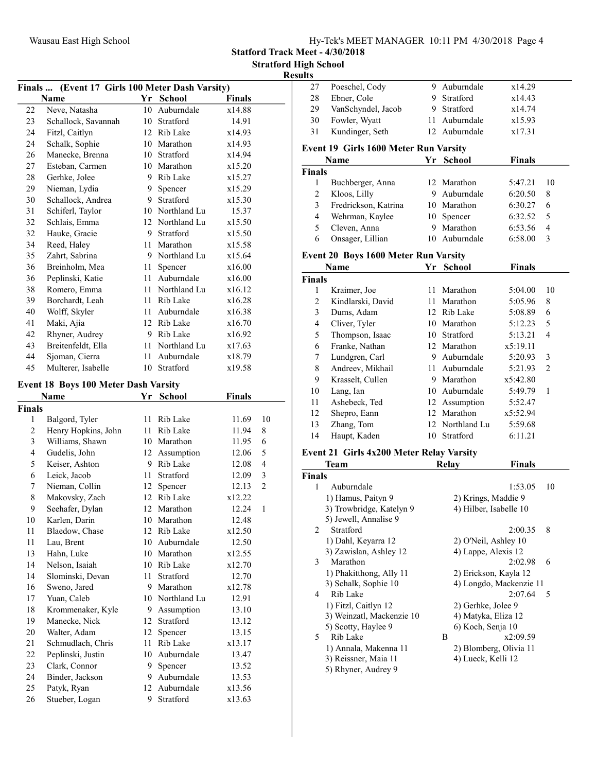| Hy-Tek's MEET MANAGER 10:11 PM 4/30/2018 Page 4 |  |  |
|-------------------------------------------------|--|--|
|                                                 |  |  |

Statford Track Meet - 4/30/2018

 $\frac{\text{Results}}{27}$ 

| Finals  (Event 17 Girls 100 Meter Dash Varsity) |                     |        |                 |               |                |  |
|-------------------------------------------------|---------------------|--------|-----------------|---------------|----------------|--|
|                                                 | Name                |        | Yr School       | <b>Finals</b> |                |  |
| 22                                              | Neve, Natasha       |        | 10 Auburndale   | x14.88        |                |  |
| 23                                              | Schallock, Savannah |        | 10 Stratford    | 14.91         |                |  |
| 24                                              | Fitzl, Caitlyn      |        | 12 Rib Lake     | x14.93        |                |  |
| 24                                              | Schalk, Sophie      |        | 10 Marathon     | x14.93        |                |  |
| 26                                              | Manecke, Brenna     |        | 10 Stratford    | x14.94        |                |  |
| 27                                              | Esteban, Carmen     |        | 10 Marathon     | x15.20        |                |  |
| 28                                              | Gerhke, Jolee       |        | 9 Rib Lake      | x15.27        |                |  |
| 29                                              | Nieman, Lydia       | 9.     | Spencer         | x15.29        |                |  |
| 30                                              | Schallock, Andrea   |        | 9 Stratford     | x15.30        |                |  |
| 31                                              | Schiferl, Taylor    |        | 10 Northland Lu | 15.37         |                |  |
| 32                                              | Schlais, Emma       |        | 12 Northland Lu | x15.50        |                |  |
| 32                                              | Hauke, Gracie       |        | 9 Stratford     | x15.50        |                |  |
| 34                                              | Reed, Haley         |        | 11 Marathon     | x15.58        |                |  |
| 35                                              | Zahrt, Sabrina      |        | 9 Northland Lu  | x15.64        |                |  |
| 36                                              | Breinholm, Mea      |        | 11 Spencer      | x16.00        |                |  |
| 36                                              | Peplinski, Katie    |        | 11 Auburndale   | x16.00        |                |  |
| 38                                              | Romero, Emma        |        | 11 Northland Lu | x16.12        |                |  |
| 39                                              | Borchardt, Leah     |        | 11 Rib Lake     | x16.28        |                |  |
| 40                                              | Wolff, Skyler       |        | 11 Auburndale   | x16.38        |                |  |
| 41                                              | Maki, Ajia          |        | 12 Rib Lake     | x16.70        |                |  |
| 42                                              | Rhyner, Audrey      |        | 9 Rib Lake      | x16.92        |                |  |
| 43                                              | Breitenfeldt, Ella  |        | 11 Northland Lu | x17.63        |                |  |
| 44                                              | Sjoman, Cierra      |        | 11 Auburndale   | x18.79        |                |  |
| 45                                              | Multerer, Isabelle  |        | 10 Stratford    | x19.58        |                |  |
|                                                 |                     |        |                 |               |                |  |
| <b>Event 18 Boys 100 Meter Dash Varsity</b>     |                     |        |                 |               |                |  |
|                                                 | Name                | Yr     | <b>School</b>   | <b>Finals</b> |                |  |
| <b>Finals</b>                                   |                     |        |                 |               |                |  |
| 1                                               | Balgord, Tyler      | 11     | Rib Lake        | 11.69         | 10             |  |
| $\overline{c}$                                  | Henry Hopkins, John |        | 11 Rib Lake     | 11.94         | 8              |  |
| 3                                               | Williams, Shawn     |        | 10 Marathon     | 11.95         | 6              |  |
| 4                                               | Gudelis, John       |        | 12 Assumption   | 12.06         | 5              |  |
| 5                                               | Keiser, Ashton      |        | 9 Rib Lake      | 12.08         | 4              |  |
| 6                                               | Leick, Jacob        |        | 11 Stratford    | 12.09         | 3              |  |
| 7                                               | Nieman, Collin      | 12     | Spencer         | 12.13         | $\overline{c}$ |  |
| 8                                               | Makovsky, Zach      |        | 12 Rib Lake     | x12.22        |                |  |
| 9                                               | Seehafer, Dylan     |        | 12 Marathon     | 12.24         | 1              |  |
| 10                                              | Karlen, Darin       | $10\,$ | Marathon        | 12.48         |                |  |
| 11                                              | Blaedow, Chase      |        | 12 Rib Lake     | x12.50        |                |  |
| $11\,$                                          | Lau, Brent          |        | 10 Auburndale   | 12.50         |                |  |
| 13                                              | Hahn, Luke          |        | 10 Marathon     | x12.55        |                |  |
| 14                                              | Nelson, Isaiah      |        | 10 Rib Lake     | x12.70        |                |  |
| 14                                              | Slominski, Devan    | 11     | Stratford       | 12.70         |                |  |
| 16                                              | Sweno, Jared        |        | 9 Marathon      | x12.78        |                |  |
| 17                                              | Yuan, Caleb         |        | 10 Northland Lu | 12.91         |                |  |
| 18                                              | Krommenaker, Kyle   | 9.     | Assumption      | 13.10         |                |  |
| 19                                              | Manecke, Nick       | 12     | Stratford       | 13.12         |                |  |
| 20                                              | Walter, Adam        | 12     | Spencer         | 13.15         |                |  |
| 21                                              | Schmudlach, Chris   | 11     | Rib Lake        | x13.17        |                |  |
| 22                                              | Peplinski, Justin   |        | 10 Auburndale   | 13.47         |                |  |
| 23                                              | Clark, Connor       | 9.     | Spencer         | 13.52         |                |  |
| 24                                              | Binder, Jackson     | 9.     | Auburndale      | 13.53         |                |  |
| 25                                              | Patyk, Ryan         |        | 12 Auburndale   | x13.56        |                |  |
| 26                                              | Stueber, Logan      | 9.     | Stratford       | x13.63        |                |  |

| 27                 | Poeschel, Cody                                 | 9.   | Auburndale                                    | x14.29                  |                |
|--------------------|------------------------------------------------|------|-----------------------------------------------|-------------------------|----------------|
| 28                 | Ebner, Cole                                    | 9    | Stratford                                     | x14.43                  |                |
| 29                 | VanSchyndel, Jacob                             | 9.   | Stratford                                     | x14.74                  |                |
| 30                 | Fowler, Wyatt                                  | 11   | Auburndale                                    | x15.93                  |                |
| 31                 | Kundinger, Seth                                | 12   | Auburndale                                    | x17.31                  |                |
|                    | Event 19 Girls 1600 Meter Run Varsity          |      |                                               |                         |                |
|                    | Name                                           |      | Yr School                                     |                         |                |
| <b>Finals</b>      |                                                |      |                                               | <b>Finals</b>           |                |
| 1                  | Buchberger, Anna                               |      | 12 Marathon                                   | 5:47.21                 | 10             |
| 2                  |                                                | 9.   | Auburndale                                    |                         |                |
|                    | Kloos, Lilly                                   |      |                                               | 6:20.50                 | 8              |
| 3                  | Fredrickson, Katrina                           |      | 10 Marathon                                   | 6:30.27                 | 6              |
| 4                  | Wehrman, Kaylee                                | 10   | Spencer                                       | 6:32.52                 | 5              |
| 5                  | Cleven, Anna                                   | 9.   | Marathon                                      | 6:53.56                 | $\overline{4}$ |
| 6                  | Onsager, Lillian                               |      | 10 Auburndale                                 | 6:58.00                 | 3              |
|                    | <b>Event 20 Boys 1600 Meter Run Varsity</b>    |      |                                               |                         |                |
|                    | Name                                           | Yr   | <b>School</b>                                 | Finals                  |                |
| <b>Finals</b>      |                                                |      |                                               |                         |                |
| 1                  | Kraimer, Joe                                   |      | 11 Marathon                                   | 5:04.00                 | 10             |
| $\overline{c}$     | Kindlarski, David                              | 11 - | Marathon                                      | 5:05.96                 | 8              |
| 3                  | Dums, Adam                                     |      | 12 Rib Lake                                   | 5:08.89                 | 6              |
| 4                  | Cliver, Tyler                                  |      | 10 Marathon                                   | 5:12.23                 | 5              |
| 5                  | Thompson, Isaac                                |      | 10 Stratford                                  | 5:13.21                 | 4              |
| 6                  | Franke, Nathan                                 |      | 12 Marathon                                   | x5:19.11                |                |
| 7                  | Lundgren, Carl                                 |      | 9 Auburndale                                  | 5:20.93                 | 3              |
| 8                  | Andreev, Mikhail                               | 11 - | Auburndale                                    | 5:21.93                 | 2              |
| 9                  | Krasselt, Cullen                               |      | 9 Marathon                                    | x5:42.80                |                |
| 10                 | Lang, Ian                                      |      | 10 Auburndale                                 | 5:49.79                 | 1              |
| 11                 | Ashebeck, Ted                                  |      | 12 Assumption                                 | 5:52.47                 |                |
| 12                 | Shepro, Eann                                   |      | 12 Marathon                                   | x5:52.94                |                |
| 13                 | Zhang, Tom                                     |      | 12 Northland Lu                               | 5:59.68                 |                |
| 14                 | Haupt, Kaden                                   |      | 10 Stratford                                  | 6:11.21                 |                |
|                    |                                                |      |                                               |                         |                |
|                    | Event 21 Girls 4x200 Meter Relay Varsity       |      |                                               |                         |                |
|                    | Team                                           |      | Relay                                         | <b>Finals</b>           |                |
| <b>Finals</b><br>1 | Auburndale                                     |      |                                               | 1:53.05                 | 10             |
|                    |                                                |      |                                               |                         |                |
|                    | 1) Hamus, Paityn 9<br>3) Trowbridge, Katelyn 9 |      | 2) Krings, Maddie 9<br>4) Hilber, Isabelle 10 |                         |                |
|                    | 5) Jewell, Annalise 9                          |      |                                               |                         |                |
| 2                  | Stratford                                      |      |                                               | 2:00.35                 | 8              |
|                    | 1) Dahl, Keyarra 12                            |      | 2) O'Neil, Ashley 10                          |                         |                |
|                    | 3) Zawislan, Ashley 12                         |      | 4) Lappe, Alexis 12                           |                         |                |
| 3                  | Marathon                                       |      |                                               | 2:02.98                 | 6              |
|                    | 1) Phakitthong, Ally 11                        |      | 2) Erickson, Kayla 12                         |                         |                |
|                    | 3) Schalk, Sophie 10                           |      |                                               | 4) Longdo, Mackenzie 11 |                |
| 4                  | Rib Lake                                       |      |                                               | 2:07.64                 | 5              |
|                    | 1) Fitzl, Caitlyn 12                           |      | 2) Gerhke, Jolee 9                            |                         |                |
|                    | 3) Weinzatl, Mackenzie 10                      |      | 4) Matyka, Eliza 12                           |                         |                |
|                    | 5) Scotty, Haylee 9                            |      | 6) Koch, Senja 10                             |                         |                |
|                    |                                                |      |                                               |                         |                |

- 5 Rib Lake B<br>
1) Annala, Makenna 11 2) Blomberg, Olivia 11<br>
3) Reissner, Maia 11 4) Lueck, Kelli 12 1) Annala, Makenna 11 2) Blomberg, Olivia 11 3) Reissner, Maia 11 4) Lueck, Kelli 12
	- 5) Rhyner, Audrey 9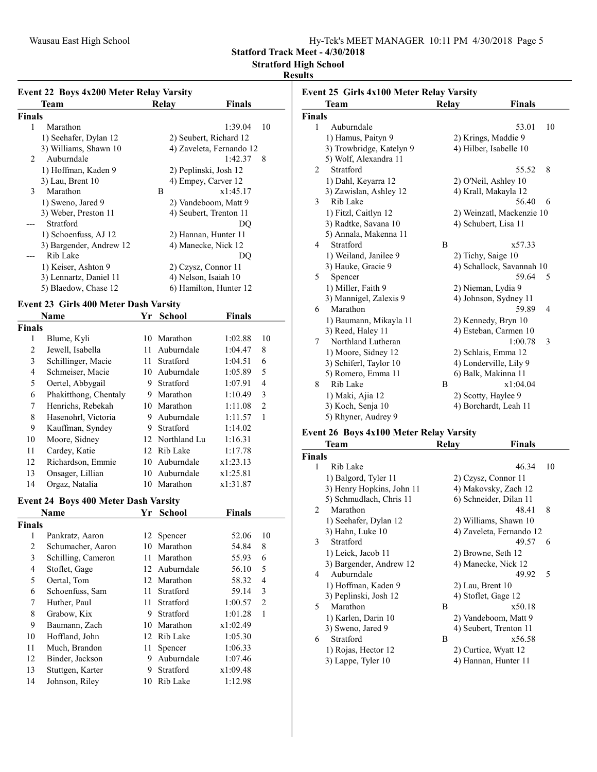Statford Track Meet - 4/30/2018

Stratford High School

#### Results

|                | <b>Event 22 Boys 4x200 Meter Relay Varsity</b> |    |                        |                          |                          |
|----------------|------------------------------------------------|----|------------------------|--------------------------|--------------------------|
|                | Team                                           |    | Relay                  | <b>Finals</b>            |                          |
| Finals         |                                                |    |                        |                          |                          |
| 1              | Marathon                                       |    |                        | 1:39.04                  | 10                       |
|                | 1) Seehafer, Dylan 12                          |    | 2) Seubert, Richard 12 |                          |                          |
|                | 3) Williams, Shawn 10                          |    |                        | 4) Zaveleta, Fernando 12 |                          |
| 2              | Auburndale                                     |    |                        | 1:42.37                  | 8                        |
|                | 1) Hoffman, Kaden 9                            |    | 2) Peplinski, Josh 12  |                          |                          |
|                | 3) Lau, Brent 10                               |    | 4) Empey, Carver 12    |                          |                          |
| 3              | Marathon                                       |    | B                      | x1:45.17                 |                          |
|                | 1) Sweno, Jared 9                              |    | 2) Vandeboom, Matt 9   |                          |                          |
|                | 3) Weber, Preston 11                           |    | 4) Seubert, Trenton 11 |                          |                          |
|                | Stratford                                      |    |                        | DQ                       |                          |
|                | 1) Schoenfuss, AJ 12                           |    | 2) Hannan, Hunter 11   |                          |                          |
|                | 3) Bargender, Andrew 12                        |    | 4) Manecke, Nick 12    |                          |                          |
|                | Rib Lake                                       |    |                        | DQ                       |                          |
|                | 1) Keiser, Ashton 9                            |    | 2) Czysz, Connor 11    |                          |                          |
|                | 3) Lennartz, Daniel 11                         |    | 4) Nelson, Isaiah 10   |                          |                          |
|                | 5) Blaedow, Chase 12                           |    | 6) Hamilton, Hunter 12 |                          |                          |
|                | <b>Event 23 Girls 400 Meter Dash Varsity</b>   |    |                        |                          |                          |
|                | Name                                           |    | Yr School              | <b>Finals</b>            |                          |
| Finals         |                                                |    |                        |                          |                          |
| 1              | Blume, Kyli                                    |    | 10 Marathon            | 1:02.88                  | 10                       |
| $\overline{c}$ | Jewell, Isabella                               |    | 11 Auburndale          | 1:04.47                  | 8                        |
| 3              | Schillinger, Macie                             | 11 | Stratford              | 1:04.51                  | 6                        |
| $\overline{4}$ | Schmeiser, Macie                               |    | 10 Auburndale          | 1:05.89                  | 5                        |
| 5              | Oertel, Abbygail                               |    | 9 Stratford            | 1:07.91                  | 4                        |
| 6              | Phakitthong, Chentaly                          |    | 9 Marathon             | 1:10.49                  | 3                        |
| 7              | Henrichs, Rebekah                              |    | 10 Marathon            | 1:11.08                  | $\overline{c}$           |
| 8              | Hasenohrl, Victoria                            |    | 9 Auburndale           | 1:11.57                  | $\mathbf{1}$             |
| 9              | Kauffman, Syndey                               |    | 9 Stratford            | 1:14.02                  |                          |
| 10             | Moore, Sidney                                  |    | 12 Northland Lu        | 1:16.31                  |                          |
| 11             | Cardey, Katie                                  |    | 12 Rib Lake            | 1:17.78                  |                          |
| 12             | Richardson, Emmie                              |    | 10 Auburndale          | x1:23.13                 |                          |
| 13             | Onsager, Lillian                               |    | 10 Auburndale          | x1:25.81                 |                          |
| 14             | Orgaz, Natalia                                 |    | 10 Marathon            | x1:31.87                 |                          |
|                |                                                |    |                        |                          |                          |
|                | <b>Event 24 Boys 400 Meter Dash Varsity</b>    |    |                        |                          |                          |
|                | Name                                           |    | Yr School              | <b>Finals</b>            |                          |
| Finals         |                                                |    |                        |                          |                          |
| 1              | Pankratz, Aaron                                | 12 | Spencer                | 52.06                    | 10                       |
| $\overline{2}$ | Schumacher, Aaron                              |    | 10 Marathon            | 54.84                    | 8                        |
| 3              | Schilling, Cameron                             |    | 11 Marathon            | 55.93                    | 6                        |
| 4              | Stoflet, Gage                                  |    | 12 Auburndale          | 56.10                    | 5                        |
| 5              | Oertal, Tom                                    | 12 | Marathon               | 58.32                    | $\overline{\mathcal{L}}$ |

5 58.32 4 Oertal, Tom 12 Marathon

7 Huther, Paul 11 Stratford 1:00.57 2 8 Grabow, Kix 9 Stratford 1:01.28 1 9 x1:02.49 Baumann, Zach 10 Marathon 10 1:05.30 Hoffland, John 12 Rib Lake 11 11 Much, Brandon 11 Spencer 1:06.33<br>12 Binder, Jackson 9 Auburndale 1:07.46 12 Binder, Jackson 9 Auburndale 1:07.46<br>13 Stuttgen, Karter 9 Stratford x1:09.48

Johnson, Riley 10 Rib Lake 1:12.98

6 Schoenfuss, Sam

13 Stuttgen, Karter<br>14 Johnson, Riley

|               | Team                     | Relay |                        | <b>Finals</b>             |                |
|---------------|--------------------------|-------|------------------------|---------------------------|----------------|
| <b>Finals</b> |                          |       |                        |                           |                |
| 1             | Auburndale               |       |                        | 53.01                     | 10             |
|               | 1) Hamus, Paityn 9       |       | 2) Krings, Maddie 9    |                           |                |
|               | 3) Trowbridge, Katelyn 9 |       | 4) Hilber, Isabelle 10 |                           |                |
|               | 5) Wolf, Alexandra 11    |       |                        |                           |                |
| 2             | Stratford                |       |                        | 55.52                     | 8              |
|               | 1) Dahl, Keyarra 12      |       | 2) O'Neil, Ashley 10   |                           |                |
|               | 3) Zawislan, Ashley 12   |       | 4) Krall, Makayla 12   |                           |                |
| 3             | Rib Lake                 |       |                        | 56.40                     | 6              |
|               | 1) Fitzl, Caitlyn 12     |       |                        | 2) Weinzatl, Mackenzie 10 |                |
|               | 3) Radtke, Savana 10     |       | 4) Schubert, Lisa 11   |                           |                |
|               | 5) Annala, Makenna 11    |       |                        |                           |                |
| 4             | Stratford                | B     |                        | x57.33                    |                |
|               | 1) Weiland, Janilee 9    |       | 2) Tichy, Saige 10     |                           |                |
|               | 3) Hauke, Gracie 9       |       |                        | 4) Schallock, Savannah 10 |                |
| 5             | Spencer                  |       |                        | 59.64                     | 5              |
|               | 1) Miller, Faith 9       |       | 2) Nieman, Lydia 9     |                           |                |
|               | 3) Mannigel, Zalexis 9   |       |                        | 4) Johnson, Sydney 11     |                |
| 6             | Marathon                 |       |                        | 59.89                     | $\overline{4}$ |
|               | 1) Baumann, Mikayla 11   |       | 2) Kennedy, Bryn 10    |                           |                |
|               | 3) Reed, Haley 11        |       |                        | 4) Esteban, Carmen 10     |                |
| 7             | Northland Lutheran       |       |                        | 1:00.78                   | 3              |
|               | 1) Moore, Sidney 12      |       | 2) Schlais, Emma 12    |                           |                |
|               | 3) Schiferl, Taylor 10   |       |                        | 4) Londerville, Lily 9    |                |
|               | 5) Romero, Emma 11       |       | 6) Balk, Makinna 11    |                           |                |
| 8             | Rib Lake                 | B     |                        | x1:04.04                  |                |
|               | 1) Maki, Ajia 12         |       | 2) Scotty, Haylee 9    |                           |                |
|               | 3) Koch, Senja 10        |       |                        | 4) Borchardt, Leah 11     |                |
|               | 5) Rhyner, Audrey 9      |       |                        |                           |                |

### Event 26 Boys 4x100 Meter Relay Varsity

| Team                      |   | Finals |                                                                                                                                                                                                                                                                                                                      |
|---------------------------|---|--------|----------------------------------------------------------------------------------------------------------------------------------------------------------------------------------------------------------------------------------------------------------------------------------------------------------------------|
| <b>Finals</b>             |   |        |                                                                                                                                                                                                                                                                                                                      |
| Rib Lake                  |   | 46.34  | 10                                                                                                                                                                                                                                                                                                                   |
| 1) Balgord, Tyler 11      |   |        |                                                                                                                                                                                                                                                                                                                      |
| 3) Henry Hopkins, John 11 |   |        |                                                                                                                                                                                                                                                                                                                      |
| 5) Schmudlach, Chris 11   |   |        |                                                                                                                                                                                                                                                                                                                      |
| Marathon                  |   | 48.41  | 8                                                                                                                                                                                                                                                                                                                    |
| 1) Seehafer, Dylan 12     |   |        |                                                                                                                                                                                                                                                                                                                      |
| 3) Hahn, Luke 10          |   |        |                                                                                                                                                                                                                                                                                                                      |
| Stratford                 |   | 49.57  | 6                                                                                                                                                                                                                                                                                                                    |
| 1) Leick, Jacob 11        |   |        |                                                                                                                                                                                                                                                                                                                      |
| 3) Bargender, Andrew 12   |   |        |                                                                                                                                                                                                                                                                                                                      |
| Auburndale                |   | 49.92  | $\overline{\phantom{0}}$                                                                                                                                                                                                                                                                                             |
| 1) Hoffman, Kaden 9       |   |        |                                                                                                                                                                                                                                                                                                                      |
| 3) Peplinski, Josh 12     |   |        |                                                                                                                                                                                                                                                                                                                      |
| Marathon                  | B | x50.18 |                                                                                                                                                                                                                                                                                                                      |
| 1) Karlen, Darin 10       |   |        |                                                                                                                                                                                                                                                                                                                      |
| 3) Sweno, Jared 9         |   |        |                                                                                                                                                                                                                                                                                                                      |
| Stratford                 | B | x56.58 |                                                                                                                                                                                                                                                                                                                      |
| 1) Rojas, Hector 12       |   |        |                                                                                                                                                                                                                                                                                                                      |
| 3) Lappe, Tyler 10        |   |        |                                                                                                                                                                                                                                                                                                                      |
|                           |   | Relay  | 2) Czysz, Connor 11<br>4) Makovsky, Zach 12<br>6) Schneider, Dilan 11<br>2) Williams, Shawn 10<br>4) Zaveleta, Fernando 12<br>2) Browne, Seth 12<br>4) Manecke, Nick 12<br>2) Lau, Brent 10<br>4) Stoflet, Gage 12<br>2) Vandeboom, Matt 9<br>4) Seubert, Trenton 11<br>2) Curtice, Wyatt 12<br>4) Hannan, Hunter 11 |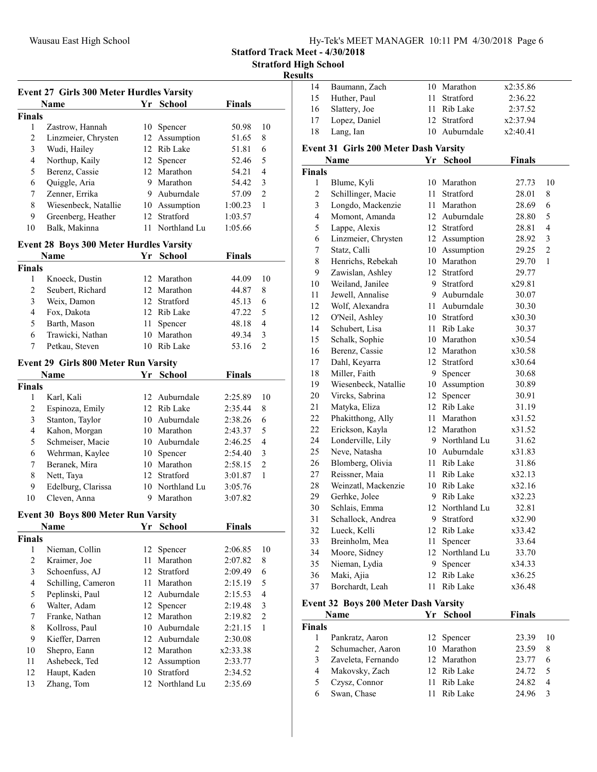Statford Track Meet - 4/30/2018

Stratford High School

#### Resul

| Event 27 Girls 300 Meter Hurdles Varsity |                                            |    |                 |               |                          |
|------------------------------------------|--------------------------------------------|----|-----------------|---------------|--------------------------|
|                                          | Name                                       | Yr | <b>School</b>   | <b>Finals</b> |                          |
| <b>Finals</b>                            |                                            |    |                 |               |                          |
| 1                                        | Zastrow, Hannah                            |    | 10 Spencer      | 50.98         | 10                       |
| $\overline{c}$                           | Linzmeier, Chrysten                        |    | 12 Assumption   | 51.65         | 8                        |
| 3                                        | Wudi, Hailey                               |    | 12 Rib Lake     | 51.81         | 6                        |
| $\overline{4}$                           | Northup, Kaily                             |    | 12 Spencer      | 52.46         | 5                        |
| 5                                        | Berenz, Cassie                             |    | 12 Marathon     | 54.21         | $\overline{\mathcal{L}}$ |
| 6                                        | Quiggle, Aria                              |    | 9 Marathon      | 54.42         | 3                        |
| 7                                        | Zenner, Errika                             |    | 9 Auburndale    | 57.09         | $\mathfrak{2}$           |
| 8                                        | Wiesenbeck, Natallie                       |    | 10 Assumption   | 1:00.23       | 1                        |
| 9                                        | Greenberg, Heather                         |    | 12 Stratford    | 1:03.57       |                          |
| 10                                       | Balk, Makinna                              |    | 11 Northland Lu | 1:05.66       |                          |
|                                          |                                            |    |                 |               |                          |
|                                          | Event 28 Boys 300 Meter Hurdles Varsity    |    |                 |               |                          |
|                                          | <b>Name</b>                                | Yr | <b>School</b>   | <b>Finals</b> |                          |
| <b>Finals</b>                            |                                            |    |                 |               |                          |
| 1                                        | Knoeck, Dustin                             |    | 12 Marathon     | 44.09         | 10                       |
| $\overline{c}$                           | Seubert, Richard                           |    | 12 Marathon     | 44.87         | 8                        |
| 3                                        | Weix, Damon                                |    | 12 Stratford    | 45.13         | 6                        |
| 4                                        | Fox, Dakota                                |    | 12 Rib Lake     | 47.22         | 5                        |
| 5                                        | Barth, Mason                               | 11 | Spencer         | 48.18         | $\overline{\mathcal{L}}$ |
| 6                                        | Trawicki, Nathan                           |    | 10 Marathon     | 49.34         | 3                        |
| 7                                        | Petkau, Steven                             |    | 10 Rib Lake     | 53.16         | $\overline{2}$           |
|                                          | Event 29 Girls 800 Meter Run Varsity       |    |                 |               |                          |
|                                          | Name                                       | Yr | <b>School</b>   | <b>Finals</b> |                          |
| <b>Finals</b>                            |                                            |    |                 |               |                          |
| 1                                        | Karl, Kali                                 | 12 | Auburndale      | 2:25.89       | 10                       |
| 2                                        | Espinoza, Emily                            | 12 | Rib Lake        | 2:35.44       | 8                        |
| 3                                        | Stanton, Taylor                            |    | 10 Auburndale   | 2:38.26       | 6                        |
| $\overline{4}$                           | Kahon, Morgan                              |    | 10 Marathon     | 2:43.37       | 5                        |
| 5                                        | Schmeiser, Macie                           |    | 10 Auburndale   | 2:46.25       | $\overline{4}$           |
| 6                                        | Wehrman, Kaylee                            |    | 10 Spencer      | 2:54.40       | $\mathfrak{Z}$           |
| 7                                        | Beranek, Mira                              |    | 10 Marathon     | 2:58.15       | $\mathfrak{2}$           |
| 8                                        | Nett, Taya                                 |    | 12 Stratford    | 3:01.87       | 1                        |
| 9                                        | Edelburg, Clarissa                         |    | 10 Northland Lu | 3:05.76       |                          |
| 10                                       | Cleven, Anna                               |    | 9 Marathon      | 3:07.82       |                          |
|                                          |                                            |    |                 |               |                          |
|                                          | <b>Event 30 Boys 800 Meter Run Varsity</b> |    |                 |               |                          |
|                                          | Name                                       | Yr | <b>School</b>   | <b>Finals</b> |                          |
| <b>Finals</b>                            |                                            |    |                 |               |                          |
| 1                                        | Nieman, Collin                             | 12 | Spencer         | 2:06.85       | 10                       |
| $\overline{c}$                           | Kraimer, Joe                               | 11 | Marathon        | 2:07.82       | 8                        |
| 3                                        | Schoenfuss, AJ                             | 12 | Stratford       | 2:09.49       | 6                        |
| $\overline{4}$                           | Schilling, Cameron                         | 11 | Marathon        | 2:15.19       | 5                        |
| 5                                        | Peplinski, Paul                            | 12 | Auburndale      | 2:15.53       | $\overline{4}$           |
| 6                                        | Walter, Adam                               | 12 | Spencer         | 2:19.48       | 3                        |
| $\tau$                                   | Franke, Nathan                             | 12 | Marathon        | 2:19.82       | $\overline{2}$           |
| 8                                        | Kollross, Paul                             | 10 | Auburndale      | 2:21.15       | 1                        |
| 9                                        | Kieffer, Darren                            | 12 | Auburndale      | 2:30.08       |                          |
| 10                                       | Shepro, Eann                               | 12 | Marathon        | x2:33.38      |                          |
| 11                                       | Ashebeck, Ted                              | 12 | Assumption      | 2:33.77       |                          |
| 12                                       | Haupt, Kaden                               | 10 | Stratford       | 2:34.52       |                          |
| 13                                       | Zhang, Tom                                 | 12 | Northland Lu    | 2:35.69       |                          |
|                                          |                                            |    |                 |               |                          |

| ults                    |                                              |      |                        |               |                |
|-------------------------|----------------------------------------------|------|------------------------|---------------|----------------|
| 14                      | Baumann, Zach                                |      | 10 Marathon            | x2:35.86      |                |
| 15                      | Huther, Paul                                 | 11 - | Stratford              | 2:36.22       |                |
| 16                      | Slattery, Joe                                |      | 11 Rib Lake            | 2:37.52       |                |
| 17                      | Lopez, Daniel                                |      | 12 Stratford           | x2:37.94      |                |
| 18                      | Lang, Ian                                    |      | 10 Auburndale          | x2:40.41      |                |
|                         | <b>Event 31 Girls 200 Meter Dash Varsity</b> |      |                        |               |                |
|                         | Name                                         | Yr   | School                 | <b>Finals</b> |                |
| <b>Finals</b>           |                                              |      |                        |               |                |
| 1                       | Blume, Kyli                                  |      | 10 Marathon            | 27.73         | 10             |
| 2                       | Schillinger, Macie                           | 11 - | Stratford              | 28.01         | 8              |
| 3                       | Longdo, Mackenzie                            | 11 - | Marathon               | 28.69         | 6              |
| $\overline{\mathbf{4}}$ | Momont, Amanda                               |      | 12 Auburndale          | 28.80         | 5              |
| 5                       | Lappe, Alexis                                |      | 12 Stratford           | 28.81         | $\overline{4}$ |
| 6                       | Linzmeier, Chrysten                          |      | 12 Assumption          | 28.92         | 3              |
| 7                       | Statz, Calli                                 |      | 10 Assumption          | 29.25         | $\overline{c}$ |
| 8                       | Henrichs, Rebekah                            |      | 10 Marathon            | 29.70         | 1              |
| 9                       | Zawislan, Ashley                             |      | 12 Stratford           | 29.77         |                |
| 10                      | Weiland, Janilee                             |      | 9 Stratford            | x29.81        |                |
| 11                      | Jewell, Annalise                             |      | 9 Auburndale           | 30.07         |                |
| 12                      | Wolf, Alexandra                              |      | 11 Auburndale          | 30.30         |                |
| 12                      | O'Neil, Ashley                               |      | 10 Stratford           | x30.30        |                |
| 14                      | Schubert, Lisa                               | 11 - | Rib Lake               | 30.37         |                |
| 15                      | Schalk, Sophie                               |      | 10 Marathon            | x30.54        |                |
| 16                      | Berenz, Cassie                               |      | 12 Marathon            | x30.58        |                |
| 17                      | Dahl, Keyarra                                |      | 12 Stratford           | x30.64        |                |
| 18                      | Miller, Faith                                | 9    | Spencer                | 30.68         |                |
| 19                      | Wiesenbeck, Natallie                         |      | 10 Assumption          | 30.89         |                |
| 20                      | Vircks, Sabrina                              | 12   | Spencer                | 30.91         |                |
| 21                      | Matyka, Eliza                                |      | 12 Rib Lake            | 31.19         |                |
| 22                      | Phakitthong, Ally                            |      | 11 Marathon            | x31.52        |                |
| 22                      | Erickson, Kayla                              |      | 12 Marathon            | x31.52        |                |
| 24                      | Londerville, Lily                            |      | 9 Northland Lu         | 31.62         |                |
| 25                      | Neve, Natasha                                |      | 10 Auburndale          | x31.83        |                |
| 26                      | Blomberg, Olivia                             |      | 11 Rib Lake            | 31.86         |                |
| 27                      | Reissner, Maia                               | 11   | Rib Lake               | x32.13        |                |
| 28                      | Weinzatl, Mackenzie                          |      | 10 Rib Lake            | x32.16        |                |
| 29                      | Gerhke, Jolee                                |      | 9 Rib Lake             | x32.23        |                |
| 30                      | Schlais, Emma                                |      | 12 Northland Lu        | 32.81         |                |
| 31                      | Schallock, Andrea                            |      | 9 Stratford            | x32.90        |                |
| 32                      | Lueck, Kelli                                 |      | 12 Rib Lake            | x33.42        |                |
| 33                      | Breinholm, Mea                               | 11   | Spencer                | 33.64         |                |
| 34                      | Moore, Sidney                                |      | 12 Northland Lu        | 33.70         |                |
| 35                      | Nieman, Lydia                                | 9.   | Spencer                | x34.33        |                |
| 36                      | Maki, Ajia                                   | 12   | Rib Lake               | x36.25        |                |
| 37                      | Borchardt, Leah                              | 11   | Rib Lake               | x36.48        |                |
|                         |                                              |      |                        |               |                |
|                         | Event 32 Boys 200 Meter Dash Varsity<br>Name | Yr   | <b>School</b>          | <b>Finals</b> |                |
| <b>Finals</b>           |                                              |      |                        |               |                |
| 1                       |                                              | 12   |                        |               | 10             |
| 2                       | Pankratz, Aaron                              |      | Spencer<br>10 Marathon | 23.39         |                |
| 3                       | Schumacher, Aaron                            |      |                        | 23.59         | 8              |
|                         | Zaveleta, Fernando                           |      | 12 Marathon            | 23.77         | 6              |

3 Zaveleta, Fernando 12 Marathon<br>4 Makovsky, Zach 12 Rib Lake

6 Swan, Chase

4 Makovsky, Zach 12 Rib Lake 24.72 5<br>5 Czysz, Connor 11 Rib Lake 24.82 4 5 24.82 4 Czysz, Connor 11 Rib Lake